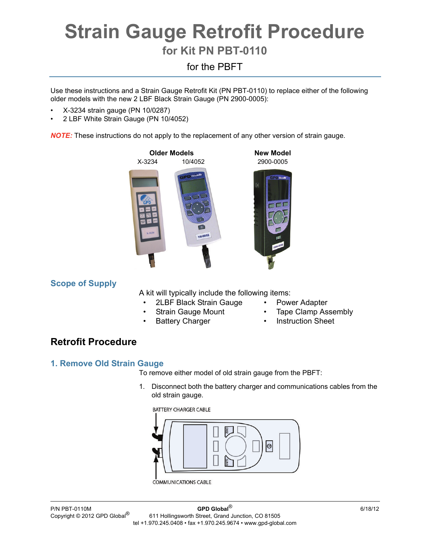# **Strain Gauge Retrofit Procedure**

# **for Kit PN PBT-0110**

# for the PBFT

Use these instructions and a Strain Gauge Retrofit Kit (PN PBT-0110) to replace either of the following older models with the new 2 LBF Black Strain Gauge (PN 2900-0005):

- X-3234 strain gauge (PN 10/0287)
- 2 LBF White Strain Gauge (PN 10/4052)

*NOTE:* These instructions do not apply to the replacement of any other version of strain gauge.



## **Scope of Supply**

A kit will typically include the following items:

- 2LBF Black Strain Gauge Power Adapter
	-
- 
- 
- Strain Gauge Mount Tape Clamp Assembly
- Battery Charger Instruction Sheet

# **Retrofit Procedure**

## **1. Remove Old Strain Gauge**

To remove either model of old strain gauge from the PBFT:

1. Disconnect both the battery charger and communications cables from the old strain gauge.



**COMMUNICATIONS CABLE**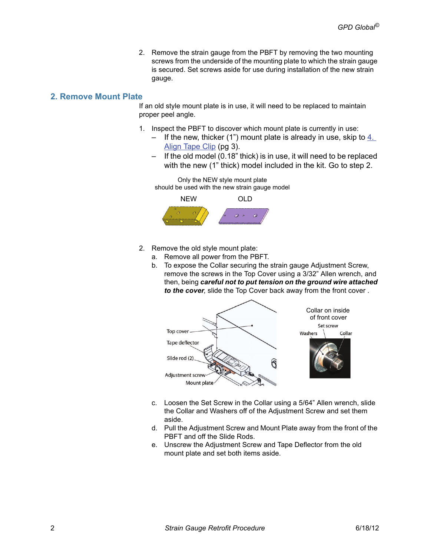2. Remove the strain gauge from the PBFT by removing the two mounting screws from the underside of the mounting plate to which the strain gauge is secured. Set screws aside for use during installation of the new strain gauge.

#### **2. Remove Mount Plate**

If an old style mount plate is in use, it will need to be replaced to maintain proper peel angle.

- 1. Inspect the PBFT to discover which mount plate is currently in use:
	- If the new, thicker (1") mount plate is already in use, skip to  $4.$ Align Tape Clip (pg 3).
	- If the old model (0.18" thick) is in use, it will need to be replaced with the new (1" thick) model included in the kit. Go to step 2.

Only the NEW style mount plate should be used with the new strain gauge model



- 2. Remove the old style mount plate:
	- a. Remove all power from the PBFT.
	- b. To expose the Collar securing the strain gauge Adjustment Screw, remove the screws in the Top Cover using a 3/32" Allen wrench, and then, being *careful not to put tension on the ground wire attached to the cover*, slide the Top Cover back away from the front cover .



- c. Loosen the Set Screw in the Collar using a 5/64" Allen wrench, slide the Collar and Washers off of the Adjustment Screw and set them aside.
- d. Pull the Adjustment Screw and Mount Plate away from the front of the PBFT and off the Slide Rods.
- e. Unscrew the Adjustment Screw and Tape Deflector from the old mount plate and set both items aside.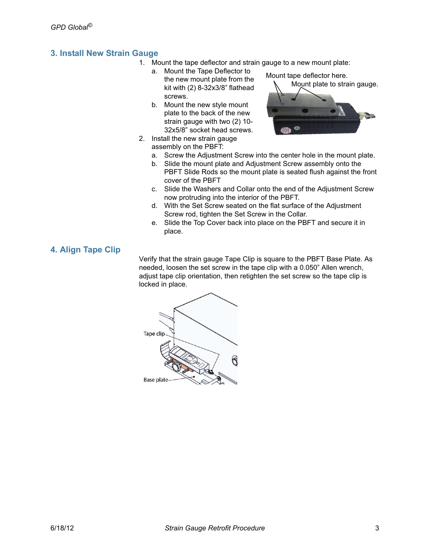## **3. Install New Strain Gauge**

- 1. Mount the tape deflector and strain gauge to a new mount plate:
	- a. Mount the Tape Deflector to the new mount plate from the kit with (2) 8-32x3/8" flathead screws.
	- b. Mount the new style mount plate to the back of the new strain gauge with two (2) 10- 32x5/8" socket head screws.



- 2. Install the new strain gauge assembly on the PBFT:
	- a. Screw the Adjustment Screw into the center hole in the mount plate.
	- b. Slide the mount plate and Adjustment Screw assembly onto the PBFT Slide Rods so the mount plate is seated flush against the front cover of the PBFT
	- c. Slide the Washers and Collar onto the end of the Adjustment Screw now protruding into the interior of the PBFT.
	- d. With the Set Screw seated on the flat surface of the Adjustment Screw rod, tighten the Set Screw in the Collar.
	- e. Slide the Top Cover back into place on the PBFT and secure it in place.

## **4. Align Tape Clip**

Verify that the strain gauge Tape Clip is square to the PBFT Base Plate. As needed, loosen the set screw in the tape clip with a 0.050" Allen wrench, adjust tape clip orientation, then retighten the set screw so the tape clip is locked in place.